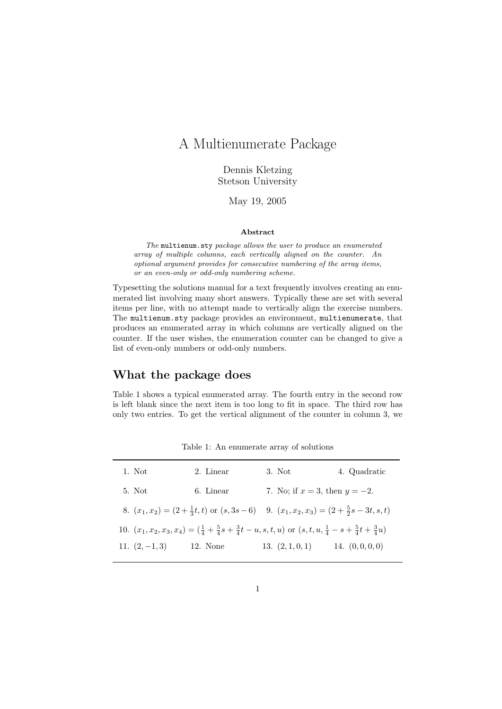# A Multienumerate Package

Dennis Kletzing Stetson University

May 19, 2005

#### Abstract

The multienum.sty package allows the user to produce an enumerated array of multiple columns, each vertically aligned on the counter. An optional argument provides for consecutive numbering of the array items, or an even-only or odd-only numbering scheme.

Typesetting the solutions manual for a text frequently involves creating an enumerated list involving many short answers. Typically these are set with several items per line, with no attempt made to vertically align the exercise numbers. The multienum.sty package provides an environment, multienumerate, that produces an enumerated array in which columns are vertically aligned on the counter. If the user wishes, the enumeration counter can be changed to give a list of even-only numbers or odd-only numbers.

## What the package does

Table 1 shows a typical enumerated array. The fourth entry in the second row is left blank since the next item is too long to fit in space. The third row has only two entries. To get the vertical alignment of the counter in column 3, we

| Table 1: An enumerate array of solutions |  |
|------------------------------------------|--|
|------------------------------------------|--|

| 1. Not         | 2. Linear | 3. Not                                                                                                                                              | 4. Quadratic    |
|----------------|-----------|-----------------------------------------------------------------------------------------------------------------------------------------------------|-----------------|
| 5. Not         | 6. Linear | 7. No; if $x = 3$ , then $y = -2$ .                                                                                                                 |                 |
|                |           | 8. $(x_1, x_2) = (2 + \frac{1}{3}t, t)$ or $(s, 3s - 6)$ 9. $(x_1, x_2, x_3) = (2 + \frac{5}{2}s - 3t, s, t)$                                       |                 |
|                |           | 10. $(x_1, x_2, x_3, x_4) = (\frac{1}{4} + \frac{5}{4}s + \frac{3}{4}t - u, s, t, u)$ or $(s, t, u, \frac{1}{4} - s + \frac{5}{4}t + \frac{3}{4}u)$ |                 |
| 11. $(2,-1,3)$ | 12. None  | 13. $(2,1,0,1)$                                                                                                                                     | 14. $(0,0,0,0)$ |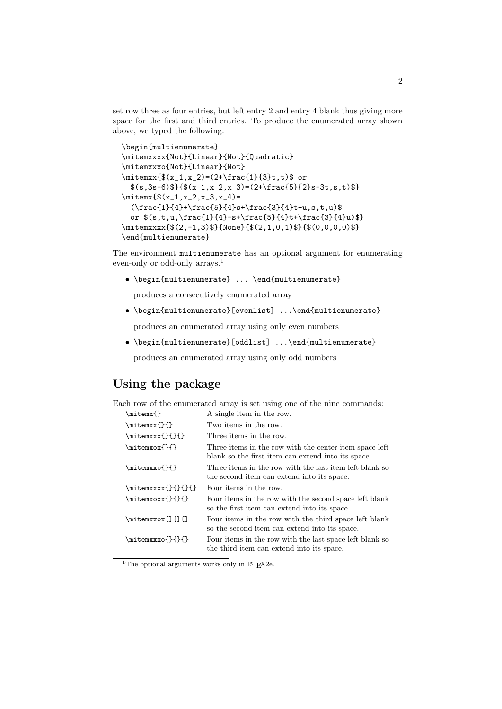set row three as four entries, but left entry 2 and entry 4 blank thus giving more space for the first and third entries. To produce the enumerated array shown above, we typed the following:

```
\begin{multienumerate}
\mitemxxxx{Not}{Linear}{Not}{Quadratic}
\mitemxxxo{Not}{Linear}{Not}
\int \mathrm{f}(x_1,x_2)=(2+\frac{1}{3}t,t) or
  $(s,3s-6)$$(x_1,x_2,x_3)=(2+\frac{5}{2}s-3t,s,t)$\{\$(x_1, x_2, x_3, x_4) =(\frac{1}{4}+\frac{5}{4}s+\frac{3}{4}t-u,s,t,u)or $(s,t,u,\frac{1}{4}-s+\frac{5}{4}t+\frac{3}{4}u)$}
\mitemxxxx{$(2,-1,3)$}{None}{$(2,1,0,1)$}{$(0,0,0,0)$}
\end{multienumerate}
```
The environment multienumerate has an optional argument for enumerating even-only or odd-only arrays.<sup>1</sup>

• \begin{multienumerate} ... \end{multienumerate}

produces a consecutively enumerated array

• \begin{multienumerate}[evenlist] ...\end{multienumerate}

produces an enumerated array using only even numbers

• \begin{multienumerate}[oddlist] ...\end{multienumerate}

produces an enumerated array using only odd numbers

## Using the package

Each row of the enumerated array is set using one of the nine commands:

| \mitemx{}          | A single item in the row.                                                                                    |
|--------------------|--------------------------------------------------------------------------------------------------------------|
| \mitemxx{}{}       | Two items in the row.                                                                                        |
| \mitemxxx{}{}{}    | Three items in the row.                                                                                      |
| \mitemxox{}{}      | Three items in the row with the center item space left<br>blank so the first item can extend into its space. |
| \mitemxxo{}{}      | Three items in the row with the last item left blank so<br>the second item can extend into its space.        |
| \mitemxxxx{}{}{}{} | Four items in the row.                                                                                       |
| \mitemxoxx{}{}{}   | Four items in the row with the second space left blank<br>so the first item can extend into its space.       |
| \mitemxxox{}{}{}   | Four items in the row with the third space left blank<br>so the second item can extend into its space.       |
| \mitemxxxof}{}{}   | Four items in the row with the last space left blank so<br>the third item can extend into its space.         |

<sup>1</sup>The optional arguments works only in L<sup>AT</sup>E<sup>X2e.</sup>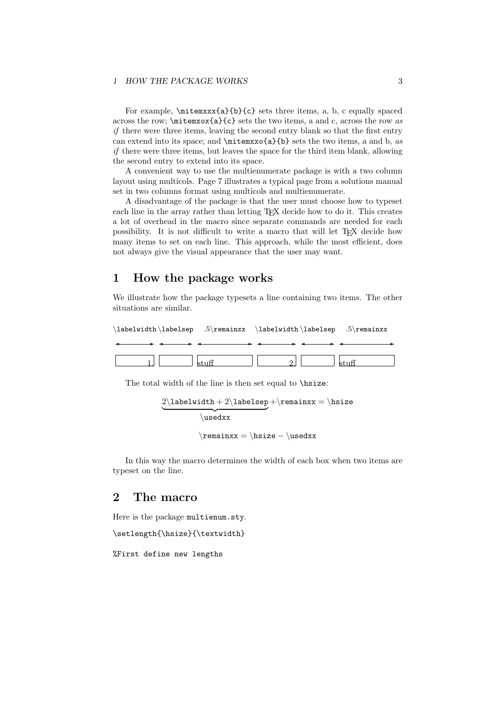#### 1 HOW THE PACKAGE WORKS 3

For example, \mitemxxx{a}{b}{c} sets three items, a, b, c equally spaced across the row;  $\int \mathbf{a}^{c}$  sets the two items, a and c, across the row as if there were three items, leaving the second entry blank so that the first entry can extend into its space; and  $\mathcal{a}{b}$  sets the two items, a and b, as if there were three items, but leaves the space for the third item blank, allowing the second entry to extend into its space.

A convenient way to use the multienumerate package is with a two column layout using multicols. Page 7 illustrates a typical page from a solutions manual set in two columns format using multicols and multienumerate.

A disadvantage of the package is that the user must choose how to typeset each line in the array rather than letting T<sub>E</sub>X decide how to do it. This creates a lot of overhead in the macro since separate commands are needed for each possibility. It is not difficult to write a macro that will let T<sub>E</sub>X decide how many items to set on each line. This approach, while the most efficient, does not always give the visual appearance that the user may want.

#### 1 How the package works

We illustrate how the package typesets a line containing two items. The other situations are similar.

| \labelwidth\labelsep .5\remainxx \labelwidth\labelsep .5\remainxx |  |  |
|-------------------------------------------------------------------|--|--|
|                                                                   |  |  |
|                                                                   |  |  |

The total width of the line is then set equal to **\hsize:** 

$$
\underbrace{2\label{table} \verb|+\remainxx|}+ \text{meainxx}=\hspace{0.08cm}\text{usedxx}+ \text{meainxx}= \hspace{0.08cm}\text{sedxx}+ \text{sedxx}+ \text{sedxx}+ \text{sedxx}+ \text{sedxx}+ \text{sedxx}+ \text{sedxx}+ \text{sedxx}+ \text{sedxx}+ \text{sedxx}+ \text{sedxx}+ \text{sedxx}+ \text{sedxx}+ \text{sedxx}+ \text{sedxx}+ \text{sedxx}+ \text{sedxx}+ \text{sedxx}+ \text{sedxx}+ \text{sedxx}+ \text{sedxx}+ \text{sedxx}+ \text{sedxx}+ \text{sedxx}+ \text{sedxx}+ \text{sedxx}+ \text{sedxx}+ \text{sedxx}+ \text{sedxx}+ \text{sedxx}+ \text{sedxx}+ \text{sedxx}+ \text{sedxx}+ \text{sedxx}+ \text{sedxx}+ \text{sedxx}+ \text{sedxx}+ \text{sedxx}+ \text{sedxx}+ \text{sedxx}+ \text{sedxx}+ \text{sedxx}+ \text{sedxx}+ \text{sedxx}+ \text{sedxx}+ \text{sedxx}+ \text{sedxx}+ \text{sedxx}+ \text{sedxx}+ \text{sedxx}+ \text{sedxx}+ \text{sedxx}+ \text{sedxx}+ \text{sedxx}+ \text{sedxx}+ \text{sedxx}+ \text{sedxx}+ \text{sedxx}+ \text{sedxx}+ \text{sedxx}+ \text{sedxx}+ \text{sedxx}+ \text{sedxx}+ \text{sedxx}+ \text{sedxx}+ \text{sedxx}+ \text{sedxx}+ \text{sedxx}+ \text{sedxx}+ \text{sedxx}+ \text{sedxx}+ \text{sedxx}+ \text{sedxx}+ \text{sedxx}+ \text{sedxx}+ \text{sedxx}+ \text{sedxx}+ \text{sedxx}+ \text{sedxx}+ \text{sedxx}+ \text{sedxx}+ \text{sedxx}+ \text{sedxx}+ \text{sedxx}+ \text{sedxx}+ \text{sedxx}+ \text{sedxx}+ \text{se
$$

In this way the macro determines the width of each box when two items are typeset on the line.

### 2 The macro

Here is the package multienum.sty.

```
\setlength{\hsize}{\textwidth}
```
%First define new lengths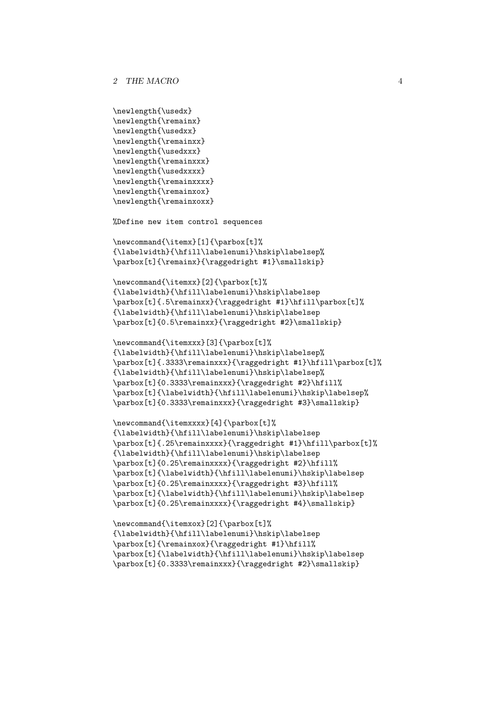```
\newlength{\usedx}
\newlength{\remainx}
\newlength{\usedxx}
\newlength{\remainxx}
\newlength{\usedxxx}
\newlength{\remainxxx}
\newlength{\usedxxxx}
\newlength{\remainxxxx}
\newlength{\remainxox}
\newlength{\remainxoxx}
```
%Define new item control sequences

\newcommand{\itemx}[1]{\parbox[t]%

\newcommand{\itemxx}[2]{\parbox[t]%

\newcommand{\itemxxx}[3]{\parbox[t]%

\newcommand{\itemxxxx}[4]{\parbox[t]%

\newcommand{\itemxox}[2]{\parbox[t]%

{\labelwidth}{\hfill\labelenumi}\hskip\labelsep% \parbox[t]{\remainx}{\raggedright #1}\smallskip}

{\labelwidth}{\hfill\labelenumi}\hskip\labelsep

{\labelwidth}{\hfill\labelenumi}\hskip\labelsep \parbox[t]{0.5\remainxx}{\raggedright #2}\smallskip}

{\labelwidth}{\hfill\labelenumi}\hskip\labelsep%

{\labelwidth}{\hfill\labelenumi}\hskip\labelsep% \parbox[t]{0.3333\remainxxx}{\raggedright #2}\hfill% \parbox[t]{\labelwidth}{\hfill\labelenumi}\hskip\labelsep% \parbox[t]{0.3333\remainxxx}{\raggedright #3}\smallskip}

{\labelwidth}{\hfill\labelenumi}\hskip\labelsep

{\labelwidth}{\hfill\labelenumi}\hskip\labelsep \parbox[t]{0.25\remainxxxx}{\raggedright #2}\hfill% \parbox[t]{\labelwidth}{\hfill\labelenumi}\hskip\labelsep \parbox[t]{0.25\remainxxxx}{\raggedright #3}\hfill% \parbox[t]{\labelwidth}{\hfill\labelenumi}\hskip\labelsep \parbox[t]{0.25\remainxxxx}{\raggedright #4}\smallskip}

{\labelwidth}{\hfill\labelenumi}\hskip\labelsep \parbox[t]{\remainxox}{\raggedright #1}\hfill%

\parbox[t]{\labelwidth}{\hfill\labelenumi}\hskip\labelsep \parbox[t]{0.3333\remainxxx}{\raggedright #2}\smallskip}

\parbox[t]{.5\remainxx}{\raggedright #1}\hfill\parbox[t]%

\parbox[t]{.3333\remainxxx}{\raggedright #1}\hfill\parbox[t]%

\parbox[t]{.25\remainxxxx}{\raggedright #1}\hfill\parbox[t]%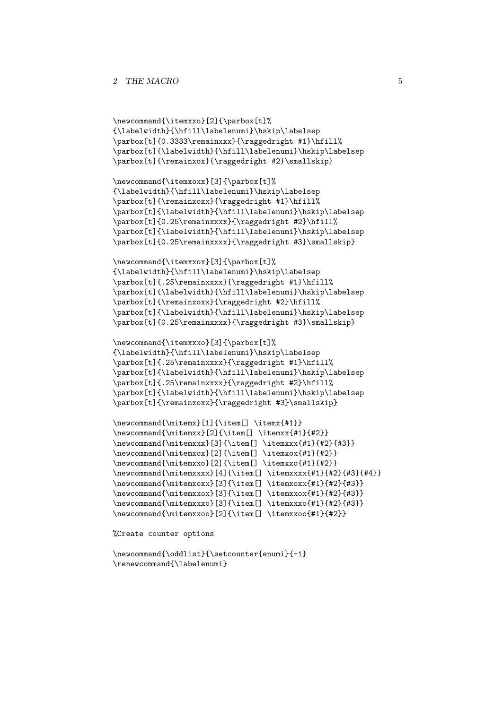```
\newcommand{\itemxxo}[2]{\parbox[t]%
{\labelwidth}{\hfill\labelenumi}\hskip\labelsep
\parbox[t]{0.3333\remainxxx}{\raggedright #1}\hfill%
\parbox[t]{\labelwidth}{\hfill\labelenumi}\hskip\labelsep
\parbox[t]{\remainxox}{\raggedright #2}\smallskip}
```

```
\newcommand{\itemxoxx}[3]{\parbox[t]%
{\labelwidth}{\hfill\labelenumi}\hskip\labelsep
\parbox[t]{\remainxoxx}{\raggedright #1}\hfill%
\parbox[t]{\labelwidth}{\hfill\labelenumi}\hskip\labelsep
\parbox[t]{0.25\remainxxxx}{\raggedright #2}\hfill%
\parbox[t]{\labelwidth}{\hfill\labelenumi}\hskip\labelsep
\parbox[t]{0.25\remainxxxx}{\raggedright #3}\smallskip}
```

```
\newcommand{\itemxxox}[3]{\parbox[t]%
{\labelwidth}{\hfill\labelenumi}\hskip\labelsep
\parbox[t]{.25\remainxxxx}{\raggedright #1}\hfill%
\parbox[t]{\labelwidth}{\hfill\labelenumi}\hskip\labelsep
\parbox[t]{\remainxoxx}{\raggedright #2}\hfill%
\parbox[t]{\labelwidth}{\hfill\labelenumi}\hskip\labelsep
\parbox[t]{0.25\remainxxxx}{\raggedright #3}\smallskip}
```

```
\newcommand{\itemxxxo}[3]{\parbox[t]%
{\labelwidth}{\hfill\labelenumi}\hskip\labelsep
\parbox[t]{.25\remainxxxx}{\raggedright #1}\hfill%
\parbox[t]{\labelwidth}{\hfill\labelenumi}\hskip\labelsep
\parbox[t]{.25\remainxxxx}{\raggedright #2}\hfill%
\parbox[t]{\labelwidth}{\hfill\labelenumi}\hskip\labelsep
\parbox[t]{\remainxoxx}{\raggedright #3}\smallskip}
```

```
\newcommand{\mitemx}[1]{\item[] \itemx{#1}}
\newcommand{\mitemxx}[2]{\item[] \itemxx{#1}{#2}}
\newcommand{\mitemxxx}[3]{\item[] \itemxxx{#1}{#2}{#3}}
\newcommand{\mitemxox}[2]{\item[] \itemxox{#1}{#2}}
\newcommand{\mitemxxo}[2]{\item[] \itemxxo{#1}{#2}}
\newcommand{\mitemxxxx}[4]{\item[] \itemxxxx{#1}{#2}{#3}{#4}}
\newcommand{\mitemxoxx}[3]{\item[] \itemxoxx{#1}{#2}{#3}}
\newcommand{\mitemxxox}[3]{\item[] \itemxxox{#1}{#2}{#3}}
\newcommand{\mitemxxxo}[3]{\item[] \itemxxxo{#1}{#2}{#3}}
\newcommand{\mitemxxoo}[2]{\item[] \itemxxoo{#1}{#2}}
```
%Create counter options

```
\newcommand{\oddlist}{\setcounter{enumi}{-1}
\renewcommand{\labelenumi}
```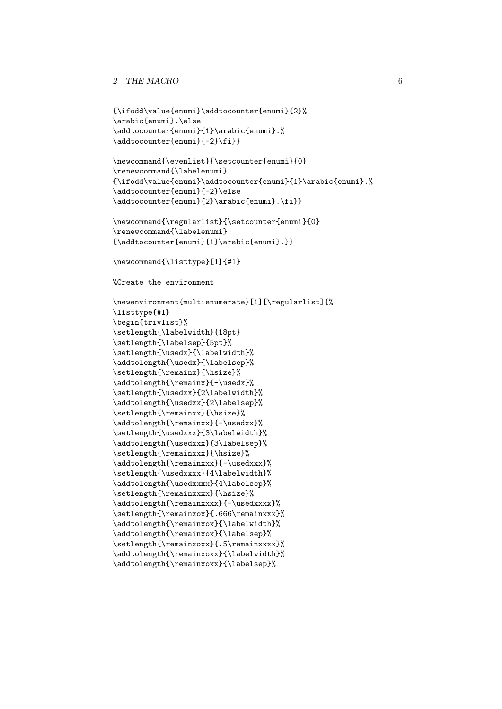```
{\ifodd\value{enumi}\addtocounter{enumi}{2}%
\arabic{enumi}.\else
\addtocounter{enumi}{1}\arabic{enumi}.%
\addtocounter{enumi}{-2}\fi}}
```

```
\newcommand{\evenlist}{\setcounter{enumi}{0}
\renewcommand{\labelenumi}
{\ifodd\value{enumi}\addtocounter{enumi}{1}\arabic{enumi}.%
\addtocounter{enumi}{-2}\else
\addtocounter{enumi}{2}\arabic{enumi}.\fi}}
```

```
\newcommand{\regularlist}{\setcounter{enumi}{0}
\renewcommand{\labelenumi}
{\addtocounter{enumi}{1}\arabic{enumi}.}}
```

```
\newcommand{\listtype}[1]{#1}
```

```
%Create the environment
```

```
\newenvironment{multienumerate}[1][\regularlist]{%
\listtype{#1}
\begin{trivlist}%
\setlength{\labelwidth}{18pt}
\setlength{\labelsep}{5pt}%
\setlength{\usedx}{\labelwidth}%
\addtolength{\usedx}{\labelsep}%
\setlength{\remainx}{\hsize}%
\addtolength{\remainx}{-\usedx}%
\setlength{\usedxx}{2\labelwidth}%
\addtolength{\usedxx}{2\labelsep}%
\setlength{\remainxx}{\hsize}%
\addtolength{\remainxx}{-\usedxx}%
\setlength{\usedxxx}{3\labelwidth}%
\addtolength{\usedxxx}{3\labelsep}%
\setlength{\remainxxx}{\hsize}%
\addtolength{\remainxxx}{-\usedxxx}%
\setlength{\usedxxxx}{4\labelwidth}%
\addtolength{\usedxxxx}{4\labelsep}%
\setlength{\remainxxxx}{\hsize}%
\addtolength{\remainxxxx}{-\usedxxxx}%
\setlength{\remainxox}{.666\remainxxx}%
\addtolength{\remainxox}{\labelwidth}%
\addtolength{\remainxox}{\labelsep}%
\setlength{\remainxoxx}{.5\remainxxxx}%
\addtolength{\remainxoxx}{\labelwidth}%
\addtolength{\remainxoxx}{\labelsep}%
```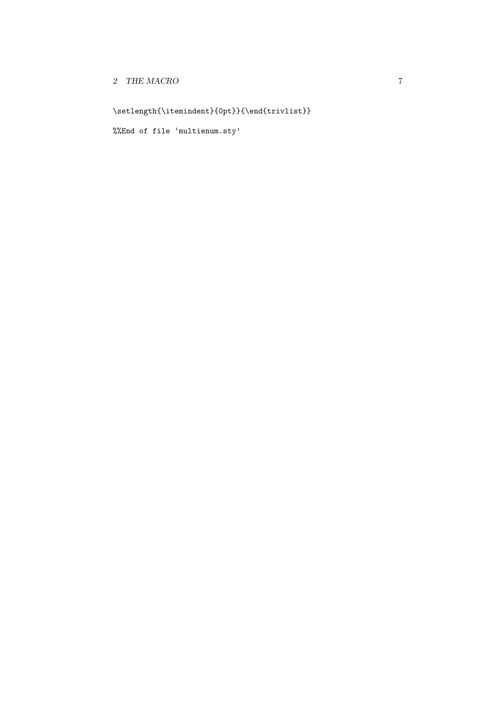### $2\quad \text{THE MACRO} \tag{7}$

 $\verb|\setlength{{\itemindent}+{0pt}}{\end{tiny}}$ 

%%End of file 'multienum.sty'